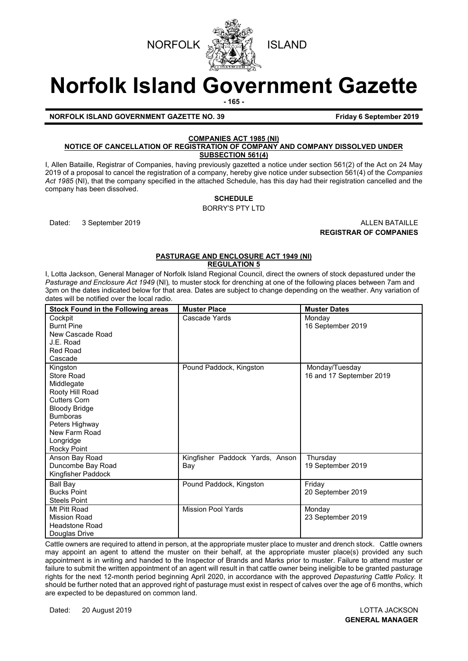



# **Norfolk Island Government Gazette**

**- 165 -**

#### **NORFOLK ISLAND GOVERNMENT GAZETTE NO. 39 Friday 6 September 2019**

# **COMPANIES ACT 1985 (NI)**

#### **NOTICE OF CANCELLATION OF REGISTRATION OF COMPANY AND COMPANY DISSOLVED UNDER SUBSECTION 561(4)**

I, Allen Bataille, Registrar of Companies, having previously gazetted a notice under section 561(2) of the Act on 24 May 2019 of a proposal to cancel the registration of a company, hereby give notice under subsection 561(4) of the *Companies Act 1985* (NI), that the company specified in the attached Schedule, has this day had their registration cancelled and the company has been dissolved.

## **SCHEDULE**

BORRY'S PTY LTD

Dated: 3 September 2019 **ALLEN BATAILLE REGISTRAR OF COMPANIES**

#### **PASTURAGE AND ENCLOSURE ACT 1949 (NI) REGULATION 5**

I, Lotta Jackson, General Manager of Norfolk Island Regional Council, direct the owners of stock depastured under the *Pasturage and Enclosure Act 1949* (NI)*,* to muster stock for drenching at one of the following places between 7am and 3pm on the dates indicated below for that area. Dates are subject to change depending on the weather. Any variation of dates will be notified over the local radio.

| Stock Found in the Following areas                                                                                                                                                       | <b>Muster Place</b>                    | <b>Muster Dates</b>                        |
|------------------------------------------------------------------------------------------------------------------------------------------------------------------------------------------|----------------------------------------|--------------------------------------------|
| Cockpit<br><b>Burnt Pine</b><br>New Cascade Road<br>J.E. Road<br>Red Road<br>Cascade                                                                                                     | Cascade Yards                          | Monday<br>16 September 2019                |
| Kingston<br>Store Road<br>Middlegate<br>Rooty Hill Road<br><b>Cutters Corn</b><br><b>Bloody Bridge</b><br><b>Bumboras</b><br>Peters Highway<br>New Farm Road<br>Longridge<br>Rocky Point | Pound Paddock, Kingston                | Monday/Tuesday<br>16 and 17 September 2019 |
| Anson Bay Road<br>Duncombe Bay Road<br>Kingfisher Paddock                                                                                                                                | Kingfisher Paddock Yards, Anson<br>Bay | Thursday<br>19 September 2019              |
| Ball Bay<br><b>Bucks Point</b><br><b>Steels Point</b>                                                                                                                                    | Pound Paddock, Kingston                | Friday<br>20 September 2019                |
| Mt Pitt Road<br>Mission Road<br><b>Headstone Road</b><br>Douglas Drive                                                                                                                   | <b>Mission Pool Yards</b>              | Monday<br>23 September 2019                |

Cattle owners are required to attend in person, at the appropriate muster place to muster and drench stock. Cattle owners may appoint an agent to attend the muster on their behalf, at the appropriate muster place(s) provided any such appointment is in writing and handed to the Inspector of Brands and Marks prior to muster. Failure to attend muster or failure to submit the written appointment of an agent will result in that cattle owner being ineligible to be granted pasturage rights for the next 12-month period beginning April 2020, in accordance with the approved *Depasturing Cattle Policy.* It should be further noted that an approved right of pasturage must exist in respect of calves over the age of 6 months, which are expected to be depastured on common land.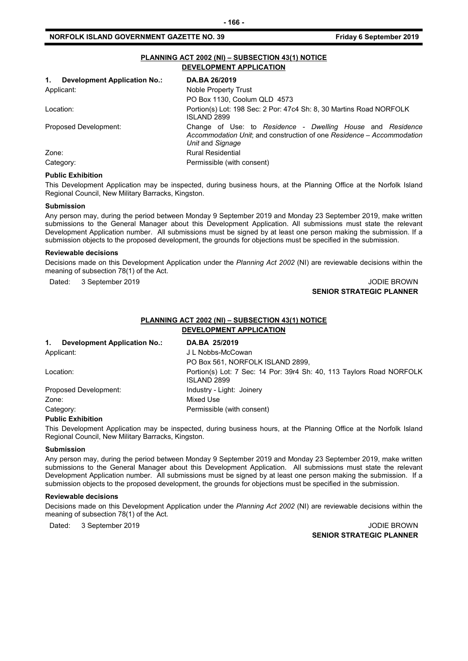#### **NORFOLK ISLAND GOVERNMENT GAZETTE NO. 39 Friday 6 September 2019**

| PLANNING ACT 2002 (NI) - SUBSECTION 43(1) NOTICE<br>DEVELOPMENT APPLICATION |                                                                                                                                                         |  |  |
|-----------------------------------------------------------------------------|---------------------------------------------------------------------------------------------------------------------------------------------------------|--|--|
| 1.<br><b>Development Application No.:</b>                                   | DA.BA 26/2019                                                                                                                                           |  |  |
| Applicant:                                                                  | Noble Property Trust                                                                                                                                    |  |  |
|                                                                             | PO Box 1130, Coolum QLD 4573                                                                                                                            |  |  |
| Location:                                                                   | Portion(s) Lot: 198 Sec: 2 Por: 47c4 Sh: 8, 30 Martins Road NORFOLK<br><b>ISI AND 2899</b>                                                              |  |  |
| Proposed Development:                                                       | Change of Use: to Residence - Dwelling House and Residence<br>Accommodation Unit; and construction of one Residence – Accommodation<br>Unit and Signage |  |  |
| Zone:                                                                       | <b>Rural Residential</b>                                                                                                                                |  |  |
| Category:                                                                   | Permissible (with consent)                                                                                                                              |  |  |

#### **Public Exhibition**

This Development Application may be inspected, during business hours, at the Planning Office at the Norfolk Island Regional Council, New Military Barracks, Kingston.

#### **Submission**

Any person may, during the period between Monday 9 September 2019 and Monday 23 September 2019, make written submissions to the General Manager about this Development Application. All submissions must state the relevant Development Application number. All submissions must be signed by at least one person making the submission. If a submission objects to the proposed development, the grounds for objections must be specified in the submission.

#### **Reviewable decisions**

Decisions made on this Development Application under the *Planning Act 2002* (NI) are reviewable decisions within the meaning of subsection 78(1) of the Act.

Dated: 3 September 2019 JODIE BROWN

# **SENIOR STRATEGIC PLANNER**

#### **PLANNING ACT 2002 (NI) – SUBSECTION 43(1) NOTICE**

**DEVELOPMENT APPLICATION**

| 1.         | <b>Development Application No.:</b> | DA.BA 25/2019                                                                       |
|------------|-------------------------------------|-------------------------------------------------------------------------------------|
| Applicant: |                                     | J L Nobbs-McCowan                                                                   |
|            |                                     | PO Box 561, NORFOLK ISLAND 2899,                                                    |
| Location:  |                                     | Portion(s) Lot: 7 Sec: 14 Por: 39r4 Sh: 40, 113 Taylors Road NORFOLK<br>ISLAND 2899 |
|            | Proposed Development:               | Industry - Light: Joinery                                                           |
| Zone:      |                                     | Mixed Use                                                                           |
| Category:  |                                     | Permissible (with consent)                                                          |

#### **Public Exhibition**

This Development Application may be inspected, during business hours, at the Planning Office at the Norfolk Island Regional Council, New Military Barracks, Kingston.

#### **Submission**

Any person may, during the period between Monday 9 September 2019 and Monday 23 September 2019, make written submissions to the General Manager about this Development Application. All submissions must state the relevant Development Application number. All submissions must be signed by at least one person making the submission. If a submission objects to the proposed development, the grounds for objections must be specified in the submission.

#### **Reviewable decisions**

Decisions made on this Development Application under the *Planning Act 2002* (NI) are reviewable decisions within the meaning of subsection 78(1) of the Act.

Dated: 3 September 2019 JODIE BROWN

**SENIOR STRATEGIC PLANNER**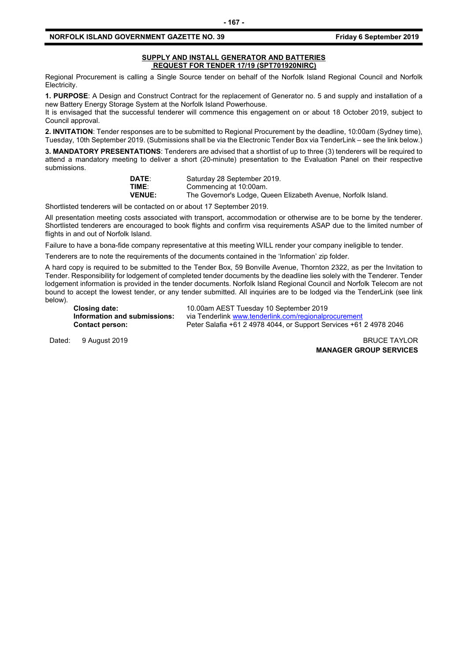#### **NORFOLK ISLAND GOVERNMENT GAZETTE NO. 39 Friday 6 September 2019**

#### **SUPPLY AND INSTALL GENERATOR AND BATTERIES REQUEST FOR TENDER 17/19 (SPT701920NIRC)**

Regional Procurement is calling a Single Source tender on behalf of the Norfolk Island Regional Council and Norfolk Electricity.

**1. PURPOSE**: A Design and Construct Contract for the replacement of Generator no. 5 and supply and installation of a new Battery Energy Storage System at the Norfolk Island Powerhouse.

It is envisaged that the successful tenderer will commence this engagement on or about 18 October 2019, subject to Council approval.

**2. INVITATION**: Tender responses are to be submitted to Regional Procurement by the deadline, 10:00am (Sydney time), Tuesday, 10th September 2019. (Submissions shall be via the Electronic Tender Box via TenderLink – see the link below.)

**3. MANDATORY PRESENTATIONS**: Tenderers are advised that a shortlist of up to three (3) tenderers will be required to attend a mandatory meeting to deliver a short (20-minute) presentation to the Evaluation Panel on their respective submissions.

| <b>DATE:</b>  | Saturday 28 September 2019.                                   |
|---------------|---------------------------------------------------------------|
| TIME:         | Commencing at 10:00am.                                        |
| <b>VENUE:</b> | The Governor's Lodge, Queen Elizabeth Avenue, Norfolk Island. |

Shortlisted tenderers will be contacted on or about 17 September 2019.

All presentation meeting costs associated with transport, accommodation or otherwise are to be borne by the tenderer. Shortlisted tenderers are encouraged to book flights and confirm visa requirements ASAP due to the limited number of flights in and out of Norfolk Island.

Failure to have a bona-fide company representative at this meeting WILL render your company ineligible to tender.

Tenderers are to note the requirements of the documents contained in the 'Information' zip folder.

A hard copy is required to be submitted to the Tender Box, 59 Bonville Avenue, Thornton 2322, as per the Invitation to Tender. Responsibility for lodgement of completed tender documents by the deadline lies solely with the Tenderer. Tender lodgement information is provided in the tender documents. Norfolk Island Regional Council and Norfolk Telecom are not bound to accept the lowest tender, or any tender submitted. All inquiries are to be lodged via the TenderLink (see link below).

**Closing date:** 10.00am AEST Tuesday 10 September 2019 **Information and submissions:** via Tenderlink [www.tenderlink.com/regionalprocurement](http://www.tenderlink.com/regionalprocurement)<br>Contact person: Peter Salafia +61 2 4978 4044, or Support Services +61 **Contact person:** Peter Salafia +61 2 4978 4044, or Support Services +61 2 4978 2046

Dated: 9 August 2019 **BRUCE TAYLOR** 

**MANAGER GROUP SERVICES**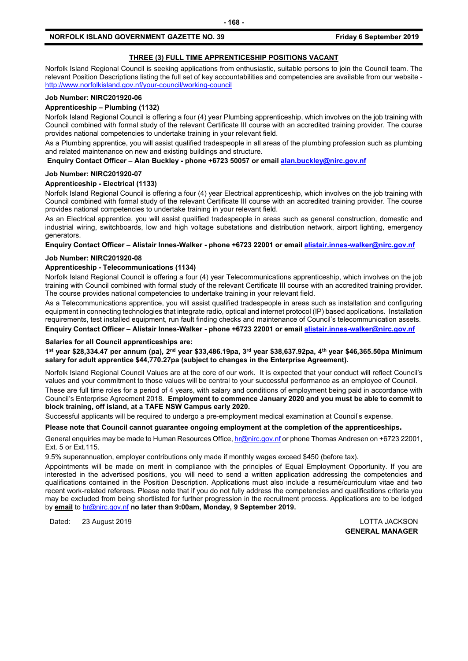### **THREE (3) FULL TIME APPRENTICESHIP POSITIONS VACANT**

Norfolk Island Regional Council is seeking applications from enthusiastic, suitable persons to join the Council team. The relevant Position Descriptions listing the full set of key accountabilities and competencies are available from our website <http://www.norfolkisland.gov.nf/your-council/working-council>

#### **Job Number: NIRC201920-06**

#### **Apprenticeship – Plumbing (1132)**

Norfolk Island Regional Council is offering a four (4) year Plumbing apprenticeship, which involves on the job training with Council combined with formal study of the relevant Certificate III course with an accredited training provider. The course provides national competencies to undertake training in your relevant field.

As a Plumbing apprentice, you will assist qualified tradespeople in all areas of the plumbing profession such as plumbing and related maintenance on new and existing buildings and structure.

**Enquiry Contact Officer – Alan Buckley - phone +6723 50057 or emai[l alan.buckley@nirc.gov.nf](mailto:alan.buckley@nirc.gov.nf)**

#### **Job Number: NIRC201920-07**

#### **Apprenticeship - Electrical (1133)**

Norfolk Island Regional Council is offering a four (4) year Electrical apprenticeship, which involves on the job training with Council combined with formal study of the relevant Certificate III course with an accredited training provider. The course provides national competencies to undertake training in your relevant field.

As an Electrical apprentice, you will assist qualified tradespeople in areas such as general construction, domestic and industrial wiring, switchboards, low and high voltage substations and distribution network, airport lighting, emergency generators.

**Enquiry Contact Officer – Alistair Innes-Walker - phone +6723 22001 or emai[l alistair.innes-walker@nirc.gov.nf](mailto:alistair.innes-walker@nirc.gov.nf)**

#### **Job Number: NIRC201920-08**

#### **Apprenticeship - Telecommunications (1134)**

Norfolk Island Regional Council is offering a four (4) year Telecommunications apprenticeship, which involves on the job training with Council combined with formal study of the relevant Certificate III course with an accredited training provider. The course provides national competencies to undertake training in your relevant field.

As a Telecommunications apprentice, you will assist qualified tradespeople in areas such as installation and configuring equipment in connecting technologies that integrate radio, optical and internet protocol (IP) based applications. Installation requirements, test installed equipment, run fault finding checks and maintenance of Council's telecommunication assets.

**Enquiry Contact Officer – Alistair Innes-Walker - phone +6723 22001 or emai[l alistair.innes-walker@nirc.gov.nf](mailto:alistair.innes-walker@nirc.gov.nf)**

#### **Salaries for all Council apprenticeships are:**

**1st year \$28,334.47 per annum (pa), 2nd year \$33,486.19pa, 3rd year \$38,637.92pa, 4th year \$46,365.50pa Minimum salary for adult apprentice \$44,770.27pa (subject to changes in the Enterprise Agreement).**

Norfolk Island Regional Council Values are at the core of our work. It is expected that your conduct will reflect Council's values and your commitment to those values will be central to your successful performance as an employee of Council.

These are full time roles for a period of 4 years, with salary and conditions of employment being paid in accordance with Council's Enterprise Agreement 2018. **Employment to commence January 2020 and you must be able to commit to block training, off island, at a TAFE NSW Campus early 2020.**

Successful applicants will be required to undergo a pre-employment medical examination at Council's expense.

#### **Please note that Council cannot guarantee ongoing employment at the completion of the apprenticeships.**

General enquiries may be made to Human Resources Office[, hr@nirc.gov.nf](mailto:hr@nirc.gov.nf) or phone Thomas Andresen on +6723 22001, Ext. 5 or Ext.115.

9.5% superannuation, employer contributions only made if monthly wages exceed \$450 (before tax).

Appointments will be made on merit in compliance with the principles of Equal Employment Opportunity. If you are interested in the advertised positions, you will need to send a written application addressing the competencies and qualifications contained in the Position Description. Applications must also include a resumé/curriculum vitae and two recent work-related referees. Please note that if you do not fully address the competencies and qualifications criteria you may be excluded from being shortlisted for further progression in the recruitment process. Applications are to be lodged by **email** to [hr@nirc.gov.nf](mailto:hr@nirc.gov.nf) **no later than 9:00am, Monday, 9 September 2019.** 

Dated: 23 August 2019 LOTTA JACKSON

**GENERAL MANAGER**